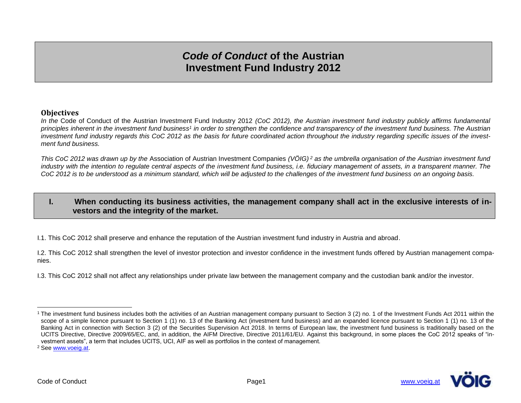# *Code of Conduct* **of the Austrian Investment Fund Industry 2012**

#### **Objectives**

*In the* Code of Conduct of the Austrian Investment Fund Industry 2012 *(CoC 2012), the Austrian investment fund industry publicly affirms fundamental principles inherent in the investment fund business<sup>1</sup> in order to strengthen the confidence and transparency of the investment fund business. The Austrian investment fund industry regards this CoC 2012 as the basis for future coordinated action throughout the industry regarding specific issues of the investment fund business.*

*This CoC 2012 was drawn up by the* Association of Austrian Investment Companies *(VÖIG) <sup>2</sup> as the umbrella organisation of the Austrian investment fund industry with the intention to regulate central aspects of the investment fund business, i.e. fiduciary management of assets, in a transparent manner. The CoC 2012 is to be understood as a minimum standard, which will be adjusted to the challenges of the investment fund business on an ongoing basis.*

# **I. When conducting its business activities, the management company shall act in the exclusive interests of investors and the integrity of the market.**

I.1. This CoC 2012 shall preserve and enhance the reputation of the Austrian investment fund industry in Austria and abroad.

I.2. This CoC 2012 shall strengthen the level of investor protection and investor confidence in the investment funds offered by Austrian management companies.

I.3. This CoC 2012 shall not affect any relationships under private law between the management company and the custodian bank and/or the investor.



<sup>-</sup><sup>1</sup> The investment fund business includes both the activities of an Austrian management company pursuant to Section 3 (2) no. 1 of the Investment Funds Act 2011 within the scope of a simple licence pursuant to Section 1 (1) no. 13 of the Banking Act (investment fund business) and an expanded licence pursuant to Section 1 (1) no. 13 of the Banking Act in connection with Section 3 (2) of the Securities Supervision Act 2018. In terms of European law, the investment fund business is traditionally based on the UCITS Directive, Directive 2009/65/EC, and, in addition, the AIFM Directive, Directive 2011/61/EU. Against this background, in some places the CoC 2012 speaks of "investment assets", a term that includes UCITS, UCI, AIF as well as portfolios in the context of management.

<sup>2</sup> See [www.voeig.at.](http://www.voeig.at/)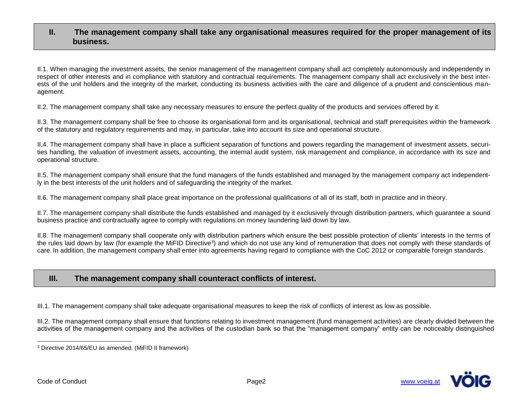## **II. The management company shall take any organisational measures required for the proper management of its business.**

II.1. When managing the investment assets, the senior management of the management company shall act completely autonomously and independently in respect of other interests and in compliance with statutory and contractual requirements. The management company shall act exclusively in the best interests of the unit holders and the integrity of the market, conducting its business activities with the care and diligence of a prudent and conscientious management.

II.2. The management company shall take any necessary measures to ensure the perfect quality of the products and services offered by it.

II.3. The management company shall be free to choose its organisational form and its organisational, technical and staff prerequisites within the framework of the statutory and regulatory requirements and may, in particular, take into account its size and operational structure.

II.4. The management company shall have in place a sufficient separation of functions and powers regarding the management of investment assets, securities handling, the valuation of investment assets, accounting, the internal audit system, risk management and compliance, in accordance with its size and operational structure.

II.5. The management company shall ensure that the fund managers of the funds established and managed by the management company act independently in the best interests of the unit holders and of safeguarding the integrity of the market.

II.6. The management company shall place great importance on the professional qualifications of all of its staff, both in practice and in theory.

II.7. The management company shall distribute the funds established and managed by it exclusively through distribution partners, which guarantee a sound business practice and contractually agree to comply with regulations on money laundering laid down by law.

II.8. The management company shall cooperate only with distribution partners which ensure the best possible protection of clients' interests in the terms of the rules laid down by law (for example the MiFID Directive<sup>3</sup>) and which do not use any kind of remuneration that does not comply with these standards of care. In addition, the management company shall enter into agreements having regard to compliance with the CoC 2012 or comparable foreign standards.

# **III. The management company shall counteract conflicts of interest.**

III.1. The management company shall take adequate organisational measures to keep the risk of conflicts of interest as low as possible.

III.2. The management company shall ensure that functions relating to investment management (fund management activities) are clearly divided between the activities of the management company and the activities of the custodian bank so that the "management company" entity can be noticeably distinguished



<sup>-</sup><sup>3</sup> Directive 2014/65/EU as amended. (MiFID II framework)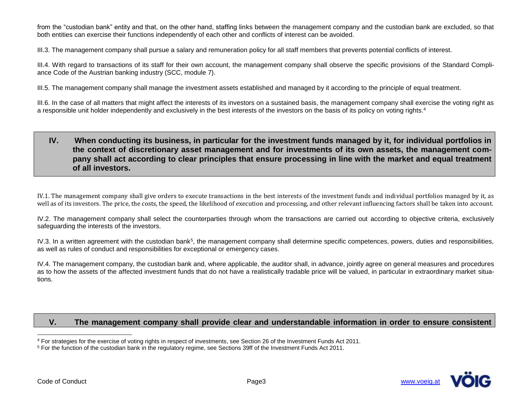from the "custodian bank" entity and that, on the other hand, staffing links between the management company and the custodian bank are excluded, so that both entities can exercise their functions independently of each other and conflicts of interest can be avoided.

III.3. The management company shall pursue a salary and remuneration policy for all staff members that prevents potential conflicts of interest.

III.4. With regard to transactions of its staff for their own account, the management company shall observe the specific provisions of the Standard Compliance Code of the Austrian banking industry (SCC, module 7).

III.5. The management company shall manage the investment assets established and managed by it according to the principle of equal treatment.

III.6. In the case of all matters that might affect the interests of its investors on a sustained basis, the management company shall exercise the voting right as a responsible unit holder independently and exclusively in the best interests of the investors on the basis of its policy on voting rights.<sup>4</sup>

# **IV. When conducting its business, in particular for the investment funds managed by it, for individual portfolios in the context of discretionary asset management and for investments of its own assets, the management company shall act according to clear principles that ensure processing in line with the market and equal treatment of all investors.**

IV.1. The management company shall give orders to execute transactions in the best interests of the investment funds and individual portfolios managed by it, as well as of its investors. The price, the costs, the speed, the likelihood of execution and processing, and other relevant influencing factors shall be taken into account.

IV.2. The management company shall select the counterparties through whom the transactions are carried out according to objective criteria, exclusively safeguarding the interests of the investors.

IV.3. In a written agreement with the custodian bank<sup>5</sup>, the management company shall determine specific competences, powers, duties and responsibilities, as well as rules of conduct and responsibilities for exceptional or emergency cases.

IV.4. The management company, the custodian bank and, where applicable, the auditor shall, in advance, jointly agree on general measures and procedures as to how the assets of the affected investment funds that do not have a realistically tradable price will be valued, in particular in extraordinary market situations.

# **V. The management company shall provide clear and understandable information in order to ensure consistent**



-

<sup>4</sup> For strategies for the exercise of voting rights in respect of investments, see Section 26 of the Investment Funds Act 2011.

<sup>5</sup> For the function of the custodian bank in the regulatory regime, see Sections 39ff of the Investment Funds Act 2011.